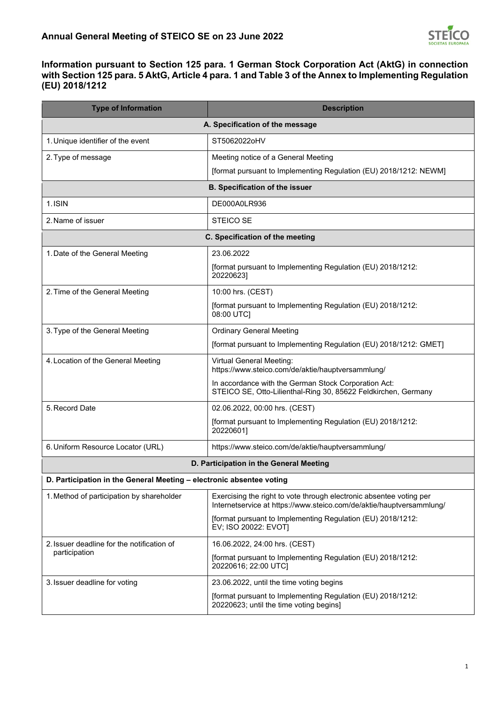

## **Information pursuant to Section 125 para. 1 German Stock Corporation Act (AktG) in connection with Section 125 para. 5 AktG, Article 4 para. 1 and Table 3 of the Annex to Implementing Regulation (EU) 2018/1212**

| <b>Type of Information</b>                                           | <b>Description</b>                                                                                                                          |  |
|----------------------------------------------------------------------|---------------------------------------------------------------------------------------------------------------------------------------------|--|
| A. Specification of the message                                      |                                                                                                                                             |  |
| 1. Unique identifier of the event                                    | ST5062022oHV                                                                                                                                |  |
| 2. Type of message                                                   | Meeting notice of a General Meeting                                                                                                         |  |
|                                                                      | [format pursuant to Implementing Regulation (EU) 2018/1212: NEWM]                                                                           |  |
| <b>B. Specification of the issuer</b>                                |                                                                                                                                             |  |
| 1. ISIN                                                              | DE000A0LR936                                                                                                                                |  |
| 2. Name of issuer                                                    | <b>STEICO SE</b>                                                                                                                            |  |
| C. Specification of the meeting                                      |                                                                                                                                             |  |
| 1. Date of the General Meeting                                       | 23.06.2022                                                                                                                                  |  |
|                                                                      | [format pursuant to Implementing Regulation (EU) 2018/1212:<br>20220623]                                                                    |  |
| 2. Time of the General Meeting                                       | 10:00 hrs. (CEST)                                                                                                                           |  |
|                                                                      | [format pursuant to Implementing Regulation (EU) 2018/1212:<br>08:00 UTC]                                                                   |  |
| 3. Type of the General Meeting                                       | <b>Ordinary General Meeting</b>                                                                                                             |  |
|                                                                      | [format pursuant to Implementing Regulation (EU) 2018/1212: GMET]                                                                           |  |
| 4. Location of the General Meeting                                   | <b>Virtual General Meeting:</b><br>https://www.steico.com/de/aktie/hauptversammlung/                                                        |  |
|                                                                      | In accordance with the German Stock Corporation Act:<br>STEICO SE, Otto-Lilienthal-Ring 30, 85622 Feldkirchen, Germany                      |  |
| 5. Record Date                                                       | 02.06.2022, 00:00 hrs. (CEST)                                                                                                               |  |
|                                                                      | [format pursuant to Implementing Regulation (EU) 2018/1212:<br>20220601]                                                                    |  |
| 6. Uniform Resource Locator (URL)                                    | https://www.steico.com/de/aktie/hauptversammlung/                                                                                           |  |
| D. Participation in the General Meeting                              |                                                                                                                                             |  |
| D. Participation in the General Meeting - electronic absentee voting |                                                                                                                                             |  |
| 1. Method of participation by shareholder                            | Exercising the right to vote through electronic absentee voting per<br>Internetservice at https://www.steico.com/de/aktie/hauptversammlung/ |  |
|                                                                      | [format pursuant to Implementing Regulation (EU) 2018/1212:<br>EV; ISO 20022: EVOT]                                                         |  |
| 2. Issuer deadline for the notification of                           | 16.06.2022, 24:00 hrs. (CEST)                                                                                                               |  |
| participation                                                        | [format pursuant to Implementing Regulation (EU) 2018/1212:<br>20220616; 22:00 UTC]                                                         |  |
| 3. Issuer deadline for voting                                        | 23.06.2022, until the time voting begins                                                                                                    |  |
|                                                                      | [format pursuant to Implementing Regulation (EU) 2018/1212:<br>20220623; until the time voting begins]                                      |  |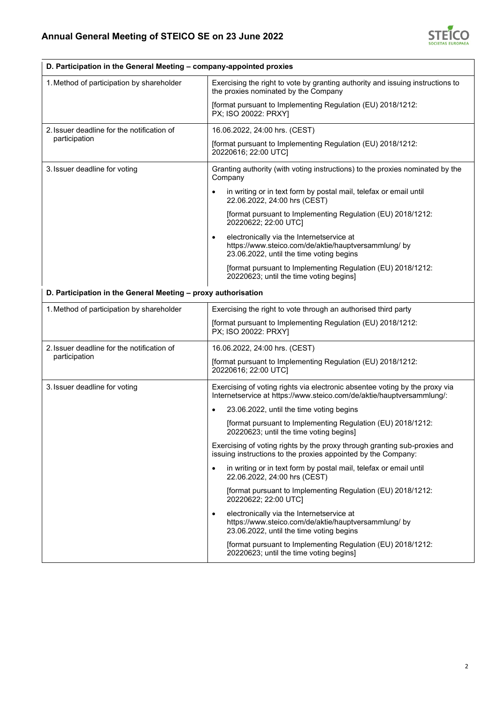$\mathbf{r}$ 



| D. Participation in the General Meeting – company-appointed proxies |                                                                                                                                                      |  |
|---------------------------------------------------------------------|------------------------------------------------------------------------------------------------------------------------------------------------------|--|
| 1. Method of participation by shareholder                           | Exercising the right to vote by granting authority and issuing instructions to<br>the proxies nominated by the Company                               |  |
|                                                                     | [format pursuant to Implementing Regulation (EU) 2018/1212:<br>PX; ISO 20022: PRXYI                                                                  |  |
| 2. Issuer deadline for the notification of<br>participation         | 16.06.2022, 24:00 hrs. (CEST)                                                                                                                        |  |
|                                                                     | [format pursuant to Implementing Regulation (EU) 2018/1212:<br>20220616; 22:00 UTC]                                                                  |  |
| 3. Issuer deadline for voting                                       | Granting authority (with voting instructions) to the proxies nominated by the<br>Company                                                             |  |
|                                                                     | in writing or in text form by postal mail, telefax or email until<br>22.06.2022, 24:00 hrs (CEST)                                                    |  |
|                                                                     | [format pursuant to Implementing Regulation (EU) 2018/1212:<br>20220622; 22:00 UTC]                                                                  |  |
|                                                                     | electronically via the Internetservice at<br>https://www.steico.com/de/aktie/hauptversammlung/ by<br>23.06.2022, until the time voting begins        |  |
|                                                                     | [format pursuant to Implementing Regulation (EU) 2018/1212:<br>20220623; until the time voting begins]                                               |  |
| D. Participation in the General Meeting - proxy authorisation       |                                                                                                                                                      |  |
| 1. Method of participation by shareholder                           | Exercising the right to vote through an authorised third party                                                                                       |  |
|                                                                     | [format pursuant to Implementing Regulation (EU) 2018/1212:<br>PX; ISO 20022: PRXY]                                                                  |  |
| 2. Issuer deadline for the notification of<br>participation         | 16.06.2022, 24:00 hrs. (CEST)                                                                                                                        |  |
|                                                                     | [format pursuant to Implementing Regulation (EU) 2018/1212:<br>20220616; 22:00 UTC]                                                                  |  |
| 3. Issuer deadline for voting                                       | Exercising of voting rights via electronic absentee voting by the proxy via<br>Internetservice at https://www.steico.com/de/aktie/hauptversammlung/: |  |
|                                                                     | 23.06.2022, until the time voting begins<br>$\bullet$                                                                                                |  |
|                                                                     | [format pursuant to Implementing Regulation (EU) 2018/1212:<br>20220623; until the time voting begins]                                               |  |
|                                                                     | Exercising of voting rights by the proxy through granting sub-proxies and<br>issuing instructions to the proxies appointed by the Company:           |  |
|                                                                     | in writing or in text form by postal mail, telefax or email until<br>22.06.2022, 24:00 hrs (CEST)                                                    |  |
|                                                                     | [format pursuant to Implementing Regulation (EU) 2018/1212:<br>20220622; 22:00 UTC]                                                                  |  |
|                                                                     | electronically via the Internetservice at<br>https://www.steico.com/de/aktie/hauptversammlung/ by<br>23.06.2022, until the time voting begins        |  |
|                                                                     | [format pursuant to Implementing Regulation (EU) 2018/1212:<br>20220623; until the time voting begins]                                               |  |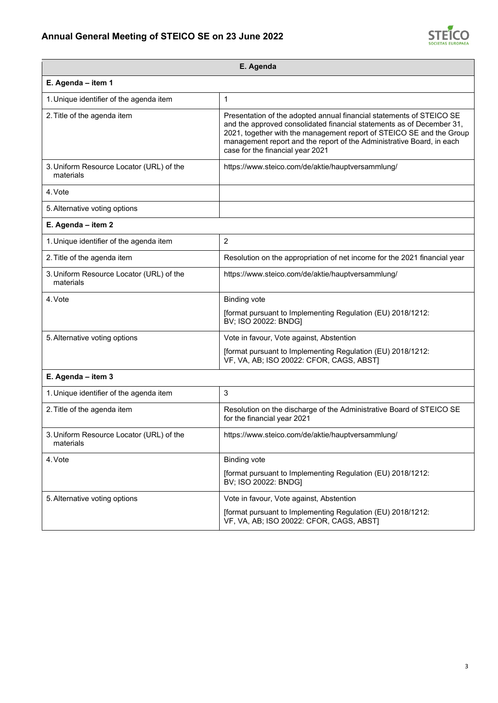## **Annual General Meeting of STEICO SE on 23 June 2022**



| E. Agenda                                             |                                                                                                                                                                                                                                                                                                                                    |  |
|-------------------------------------------------------|------------------------------------------------------------------------------------------------------------------------------------------------------------------------------------------------------------------------------------------------------------------------------------------------------------------------------------|--|
| E. Agenda - item 1                                    |                                                                                                                                                                                                                                                                                                                                    |  |
| 1. Unique identifier of the agenda item               | $\mathbf{1}$                                                                                                                                                                                                                                                                                                                       |  |
| 2. Title of the agenda item                           | Presentation of the adopted annual financial statements of STEICO SE<br>and the approved consolidated financial statements as of December 31,<br>2021, together with the management report of STEICO SE and the Group<br>management report and the report of the Administrative Board, in each<br>case for the financial year 2021 |  |
| 3. Uniform Resource Locator (URL) of the<br>materials | https://www.steico.com/de/aktie/hauptversammlung/                                                                                                                                                                                                                                                                                  |  |
| 4. Vote                                               |                                                                                                                                                                                                                                                                                                                                    |  |
| 5. Alternative voting options                         |                                                                                                                                                                                                                                                                                                                                    |  |
| E. Agenda - item 2                                    |                                                                                                                                                                                                                                                                                                                                    |  |
| 1. Unique identifier of the agenda item               | $\overline{2}$                                                                                                                                                                                                                                                                                                                     |  |
| 2. Title of the agenda item                           | Resolution on the appropriation of net income for the 2021 financial year                                                                                                                                                                                                                                                          |  |
| 3. Uniform Resource Locator (URL) of the<br>materials | https://www.steico.com/de/aktie/hauptversammlung/                                                                                                                                                                                                                                                                                  |  |
| 4. Vote                                               | <b>Binding vote</b>                                                                                                                                                                                                                                                                                                                |  |
|                                                       | [format pursuant to Implementing Regulation (EU) 2018/1212:<br>BV; ISO 20022: BNDG]                                                                                                                                                                                                                                                |  |
| 5. Alternative voting options                         | Vote in favour, Vote against, Abstention                                                                                                                                                                                                                                                                                           |  |
|                                                       | [format pursuant to Implementing Regulation (EU) 2018/1212:<br>VF, VA, AB; ISO 20022: CFOR, CAGS, ABST)                                                                                                                                                                                                                            |  |
| E. Agenda - item 3                                    |                                                                                                                                                                                                                                                                                                                                    |  |
| 1. Unique identifier of the agenda item               | 3                                                                                                                                                                                                                                                                                                                                  |  |
| 2. Title of the agenda item                           | Resolution on the discharge of the Administrative Board of STEICO SE<br>for the financial year 2021                                                                                                                                                                                                                                |  |
| 3. Uniform Resource Locator (URL) of the<br>materials | https://www.steico.com/de/aktie/hauptversammlung/                                                                                                                                                                                                                                                                                  |  |
| 4. Vote                                               | <b>Binding vote</b>                                                                                                                                                                                                                                                                                                                |  |
|                                                       | [format pursuant to Implementing Regulation (EU) 2018/1212:<br>BV; ISO 20022: BNDG]                                                                                                                                                                                                                                                |  |
| 5. Alternative voting options                         | Vote in favour, Vote against, Abstention                                                                                                                                                                                                                                                                                           |  |
|                                                       | [format pursuant to Implementing Regulation (EU) 2018/1212:<br>VF, VA, AB; ISO 20022: CFOR, CAGS, ABST)                                                                                                                                                                                                                            |  |